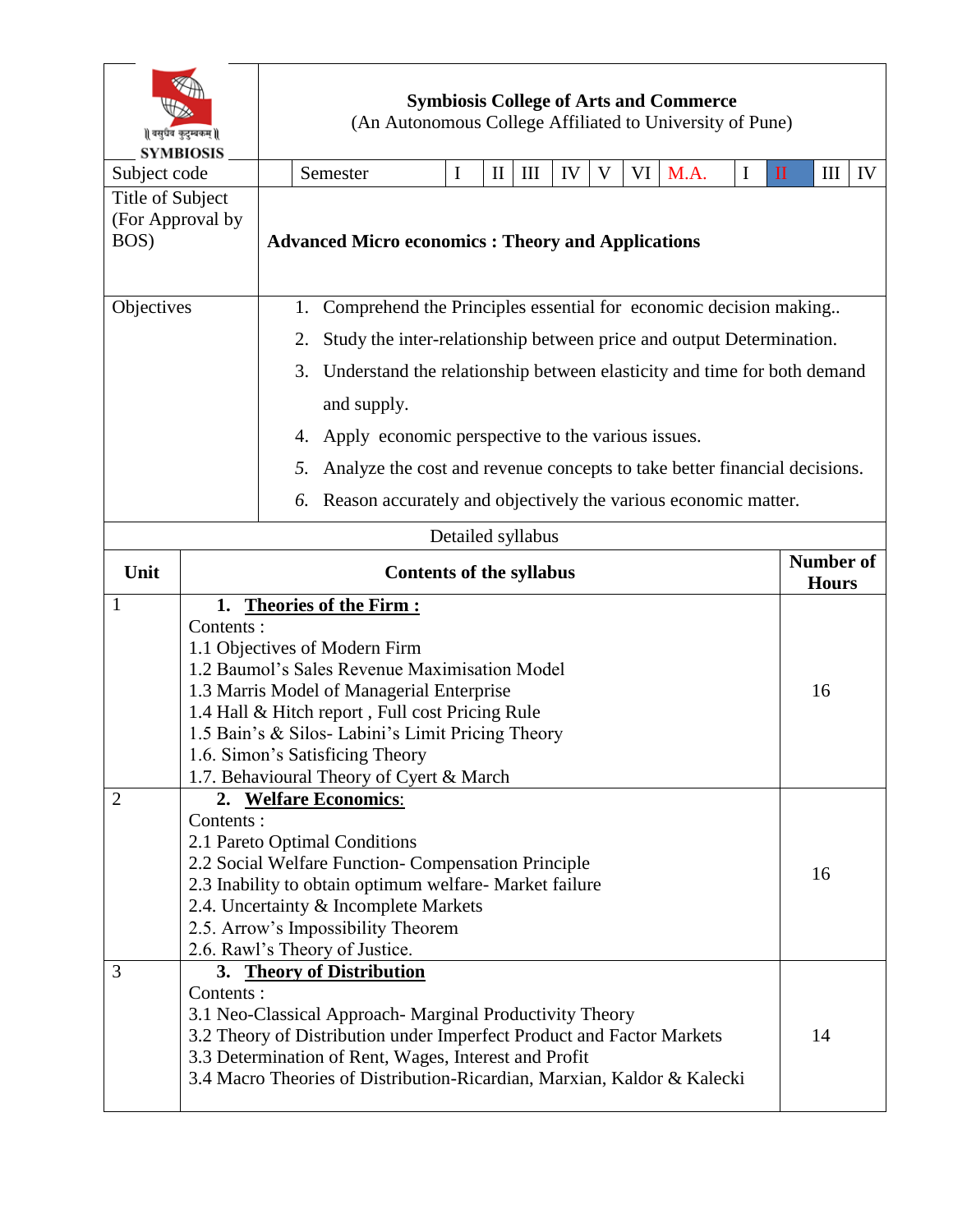| वसुधैव कुटुम्बकम्   <br><b>SYMBIOSIS</b>     |                  | <b>Symbiosis College of Arts and Commerce</b><br>(An Autonomous College Affiliated to University of Pune) |                                                                                                                                                                                                                                                                                                                    |             |              |                   |    |   |    |      |   |              |                                  |    |
|----------------------------------------------|------------------|-----------------------------------------------------------------------------------------------------------|--------------------------------------------------------------------------------------------------------------------------------------------------------------------------------------------------------------------------------------------------------------------------------------------------------------------|-------------|--------------|-------------------|----|---|----|------|---|--------------|----------------------------------|----|
| Subject code                                 |                  |                                                                                                           | Semester                                                                                                                                                                                                                                                                                                           | $\mathbf I$ | $\mathbf{I}$ | Ш                 | IV | V | VI | M.A. | I | $\mathbf{I}$ | III                              | IV |
| Title of Subject<br>(For Approval by<br>BOS) |                  |                                                                                                           | <b>Advanced Micro economics: Theory and Applications</b>                                                                                                                                                                                                                                                           |             |              |                   |    |   |    |      |   |              |                                  |    |
| Objectives                                   |                  |                                                                                                           | Comprehend the Principles essential for economic decision making<br>1.                                                                                                                                                                                                                                             |             |              |                   |    |   |    |      |   |              |                                  |    |
|                                              |                  |                                                                                                           | Study the inter-relationship between price and output Determination.<br>2.                                                                                                                                                                                                                                         |             |              |                   |    |   |    |      |   |              |                                  |    |
|                                              |                  |                                                                                                           | Understand the relationship between elasticity and time for both demand<br>3.                                                                                                                                                                                                                                      |             |              |                   |    |   |    |      |   |              |                                  |    |
|                                              |                  |                                                                                                           | and supply.                                                                                                                                                                                                                                                                                                        |             |              |                   |    |   |    |      |   |              |                                  |    |
|                                              |                  |                                                                                                           | Apply economic perspective to the various issues.<br>4.                                                                                                                                                                                                                                                            |             |              |                   |    |   |    |      |   |              |                                  |    |
|                                              |                  |                                                                                                           | Analyze the cost and revenue concepts to take better financial decisions.<br>5.                                                                                                                                                                                                                                    |             |              |                   |    |   |    |      |   |              |                                  |    |
|                                              |                  |                                                                                                           | Reason accurately and objectively the various economic matter.<br>6.                                                                                                                                                                                                                                               |             |              |                   |    |   |    |      |   |              |                                  |    |
|                                              |                  |                                                                                                           |                                                                                                                                                                                                                                                                                                                    |             |              | Detailed syllabus |    |   |    |      |   |              |                                  |    |
| Unit                                         |                  |                                                                                                           | <b>Contents of the syllabus</b>                                                                                                                                                                                                                                                                                    |             |              |                   |    |   |    |      |   |              | <b>Number of</b><br><b>Hours</b> |    |
| $\mathbf{1}$                                 | 1.               |                                                                                                           | <b>Theories of the Firm:</b>                                                                                                                                                                                                                                                                                       |             |              |                   |    |   |    |      |   |              |                                  |    |
|                                              | Contents:        |                                                                                                           | 1.1 Objectives of Modern Firm<br>1.2 Baumol's Sales Revenue Maximisation Model<br>1.3 Marris Model of Managerial Enterprise<br>1.4 Hall & Hitch report, Full cost Pricing Rule<br>1.5 Bain's & Silos- Labini's Limit Pricing Theory<br>1.6. Simon's Satisficing Theory<br>1.7. Behavioural Theory of Cyert & March |             |              |                   |    |   |    |      |   |              | 16                               |    |
| $\overline{2}$                               | Contents :       |                                                                                                           | 2. Welfare Economics:<br>2.1 Pareto Optimal Conditions<br>2.2 Social Welfare Function- Compensation Principle<br>2.3 Inability to obtain optimum welfare- Market failure<br>2.4. Uncertainty & Incomplete Markets<br>2.5. Arrow's Impossibility Theorem<br>2.6. Rawl's Theory of Justice.                          |             |              |                   |    |   |    |      |   |              | 16                               |    |
| 3                                            | 3.<br>Contents : |                                                                                                           | <b>Theory of Distribution</b><br>3.1 Neo-Classical Approach- Marginal Productivity Theory<br>3.2 Theory of Distribution under Imperfect Product and Factor Markets<br>3.3 Determination of Rent, Wages, Interest and Profit<br>3.4 Macro Theories of Distribution-Ricardian, Marxian, Kaldor & Kalecki             |             |              |                   |    |   |    |      |   |              | 14                               |    |